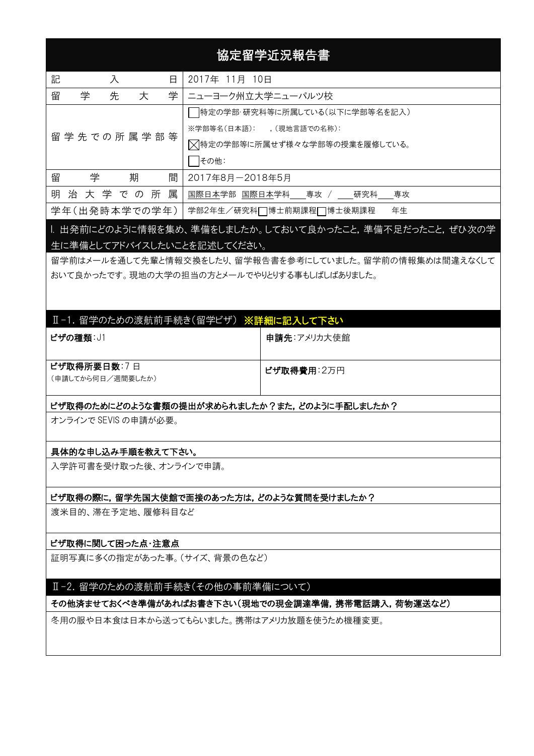# 協定留学近況報告書

| 記<br>日<br>入        | 2017年 11月 10日                 |  |  |
|--------------------|-------------------------------|--|--|
| 留<br>先<br>学<br>大   | 学 ニューヨーク州立大学ニューパルツ校           |  |  |
|                    | 特定の学部・研究科等に所属している(以下に学部等名を記入) |  |  |
| 留 学 先 での 所 属 学 部 等 | ※学部等名(日本語): (現地言語での名称):       |  |  |
|                    | ▽特定の学部等に所属せず様々な学部等の授業を履修している。 |  |  |
|                    | その他:                          |  |  |
| 期<br>留<br>学<br>間   | 2017年8月-2018年5月               |  |  |
| 明治大学での所属           | 国際日本学部 国際日本学科__専攻 / __研究科__専攻 |  |  |
| 学年(出発時本学での学年)      | 年生<br>学部2年生/研究科□博士前期課程□博士後期課程 |  |  |

# I. 出発前にどのように情報を集め、準備をしましたか。しておいて良かったこと,準備不足だったこと,ぜひ次の学 生に準備としてアドバイスしたいことを記述してください。

留学前はメールを通して先輩と情報交換をしたり、留学報告書を参考にしていました。留学前の情報集めは間違えなくして おいて良かったです。現地の大学の担当の方とメールでやりとりする事もしばしばありました。

# Ⅱ-1. 留学のための渡航前手続き(留学ビザ) ※詳細に記入して下さい

| ビザの種類: J1                        | 申請先:アメリカ大使館 |
|----------------------------------|-------------|
| ビザ取得所要日数:7日<br>(申請してから何日/週間要したか) | ビザ取得費用:2万円  |

#### ビザ取得のためにどのような書類の提出が求められましたか?また, どのように手配しましたか?

オンラインで SEVIS の申請が必要。

## 具体的な申し込み手順を教えて下さい。

入学許可書を受け取った後、オンラインで申請。

#### ビザ取得の際に,留学先国大使館で面接のあった方は,どのような質問を受けましたか?

渡米目的、滞在予定地、履修科目など

#### ビザ取得に関して困った点・注意点

証明写真に多くの指定があった事。(サイズ、背景の色など)

## Ⅱ-2. 留学のための渡航前手続き(その他の事前準備について)

#### その他済ませておくべき準備があればお書き下さい(現地での現金調達準備,携帯電話購入,荷物運送など)

冬用の服や日本食は日本から送ってもらいました。携帯はアメリカ放題を使うため機種変更。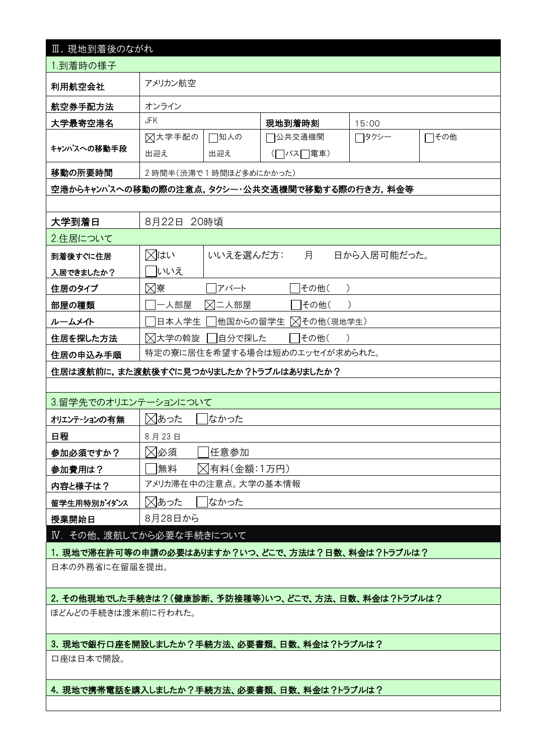| Ⅲ. 現地到着後のながれ                                        |                       |                     |                                               |             |      |  |  |  |
|-----------------------------------------------------|-----------------------|---------------------|-----------------------------------------------|-------------|------|--|--|--|
| 1.到着時の様子                                            |                       |                     |                                               |             |      |  |  |  |
| 利用航空会社                                              | アメリカン航空               |                     |                                               |             |      |  |  |  |
| 航空券手配方法                                             | オンライン                 |                     |                                               |             |      |  |  |  |
| 大学最寄空港名                                             | <b>JFK</b>            |                     | 現地到着時刻                                        | 15:00       |      |  |  |  |
|                                                     | ⊠大学手配の                | □知人の                | 7公共交通機関                                       | ┌┐タクシー      | □その他 |  |  |  |
| キャンパスへの移動手段                                         | 出迎え                   | 出迎え                 | (□バス□電車)                                      |             |      |  |  |  |
| 移動の所要時間                                             | 2時間半(渋滞で1時間ほど多めにかかった) |                     |                                               |             |      |  |  |  |
|                                                     |                       |                     | 空港からキャンパスへの移動の際の注意点,タクシー・公共交通機関で移動する際の行き方,料金等 |             |      |  |  |  |
|                                                     |                       |                     |                                               |             |      |  |  |  |
| 大学到着日                                               | 8月22日                 | 20時頃                |                                               |             |      |  |  |  |
| 2.住居について                                            |                       |                     |                                               |             |      |  |  |  |
| 到着後すぐに住居                                            | ⊠はい                   | いいえを選んだ方:           | 月                                             | 日から入居可能だった。 |      |  |  |  |
| 入居できましたか?                                           | 飞いえ                   |                     |                                               |             |      |  |  |  |
| 住居のタイプ                                              | ⊠寮                    | アパート                | その他(                                          |             |      |  |  |  |
| 部屋の種類                                               | 一人部屋                  | ⊠二人部屋               | その他(                                          |             |      |  |  |  |
| ルームメイト                                              | 日本人学生                 | 他国からの留学生            | ▽イの他(現地学生)                                    |             |      |  |  |  |
| 住居を探した方法                                            | ⊠大学の斡旋                | 自分で探した              | その他(                                          |             |      |  |  |  |
| 住居の申込み手順                                            |                       |                     | 特定の寮に居住を希望する場合は短めのエッセイが求められた。                 |             |      |  |  |  |
| 住居は渡航前に,また渡航後すぐに見つかりましたか?トラブルはありましたか?               |                       |                     |                                               |             |      |  |  |  |
|                                                     |                       |                     |                                               |             |      |  |  |  |
| 3.留学先でのオリエンテーションについて                                |                       |                     |                                               |             |      |  |  |  |
| オリエンテーションの有無                                        | ⊠あった<br>なかった          |                     |                                               |             |      |  |  |  |
| 日程                                                  | 8月23日                 |                     |                                               |             |      |  |  |  |
| 参加必須ですか?                                            | ⊠必須<br>任意参加           |                     |                                               |             |      |  |  |  |
| 参加費用は?                                              | 無料                    | ▷ 有料(金額:1万円)        |                                               |             |      |  |  |  |
| 内容と様子は?                                             |                       | アメリカ滞在中の注意点。大学の基本情報 |                                               |             |      |  |  |  |
| 留学生用特別がイダンス                                         | ⊠あった                  | なかった                |                                               |             |      |  |  |  |
| 授業開始日                                               | 8月28日から               |                     |                                               |             |      |  |  |  |
| IV. その他、渡航してから必要な手続きについて                            |                       |                     |                                               |             |      |  |  |  |
| 1.現地で滞在許可等の申請の必要はありますか?いつ、どこで、方法は?日数、料金は?トラブルは?     |                       |                     |                                               |             |      |  |  |  |
| 日本の外務省に在留届を提出。                                      |                       |                     |                                               |             |      |  |  |  |
| 2. その他現地でした手続きは?(健康診断、予防接種等)いつ、どこで、方法、日数、料金は?トラブルは? |                       |                     |                                               |             |      |  |  |  |
| ほどんどの手続きは渡米前に行われた。                                  |                       |                     |                                               |             |      |  |  |  |
|                                                     |                       |                     |                                               |             |      |  |  |  |
| 3. 現地で銀行口座を開設しましたか?手続方法、必要書類、日数、料金は?トラブルは?          |                       |                     |                                               |             |      |  |  |  |
| 口座は日本で開設。                                           |                       |                     |                                               |             |      |  |  |  |
|                                                     |                       |                     |                                               |             |      |  |  |  |
| 4. 現地で携帯電話を購入しましたか?手続方法、必要書類、日数、料金は?トラブルは?          |                       |                     |                                               |             |      |  |  |  |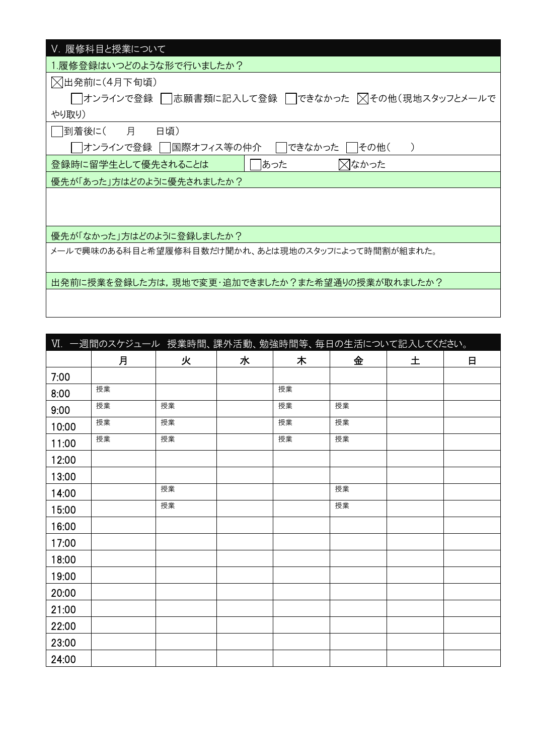| Ⅴ. 履修科目と授業について                                        |
|-------------------------------------------------------|
| 1.履修登録はいつどのような形で行いましたか?                               |
| ◯出発前に(4月下旬頃)                                          |
| │  オンラインで登録 │  志願書類に記入して登録 │ できなかった ∑【その他(現地スタッフとメールで |
| やり取り)                                                 |
| │  到着後に(<br>月日<br>日頃)                                 |
| オンラインで登録    国際オフィス等の仲介<br>できなかった<br> その他(             |
| ⊠なかった<br>あった<br>登録時に留学生として優先されることは                    |
| 優先が「あった」方はどのように優先されましたか?                              |
|                                                       |
|                                                       |
| 優先が「なかった」方はどのように登録しましたか?                              |
| メールで興味のある科目と希望履修科目数だけ聞かれ、あとは現地のスタッフによって時間割が組まれた。      |
|                                                       |
| 出発前に授業を登録した方は,現地で変更・追加できましたか?また希望通りの授業が取れましたか?        |
|                                                       |

|       | VI. 一週間のスケジュール 授業時間、課外活動、勉強時間等、毎日の生活について記入してください。 |    |   |    |    |   |   |
|-------|---------------------------------------------------|----|---|----|----|---|---|
|       | 月                                                 | 火  | 水 | 木  | 金  | 土 | 日 |
| 7:00  |                                                   |    |   |    |    |   |   |
| 8:00  | 授業                                                |    |   | 授業 |    |   |   |
| 9:00  | 授業                                                | 授業 |   | 授業 | 授業 |   |   |
| 10:00 | 授業                                                | 授業 |   | 授業 | 授業 |   |   |
| 11:00 | 授業                                                | 授業 |   | 授業 | 授業 |   |   |
| 12:00 |                                                   |    |   |    |    |   |   |
| 13:00 |                                                   |    |   |    |    |   |   |
| 14:00 |                                                   | 授業 |   |    | 授業 |   |   |
| 15:00 |                                                   | 授業 |   |    | 授業 |   |   |
| 16:00 |                                                   |    |   |    |    |   |   |
| 17:00 |                                                   |    |   |    |    |   |   |
| 18:00 |                                                   |    |   |    |    |   |   |
| 19:00 |                                                   |    |   |    |    |   |   |
| 20:00 |                                                   |    |   |    |    |   |   |
| 21:00 |                                                   |    |   |    |    |   |   |
| 22:00 |                                                   |    |   |    |    |   |   |
| 23:00 |                                                   |    |   |    |    |   |   |
| 24:00 |                                                   |    |   |    |    |   |   |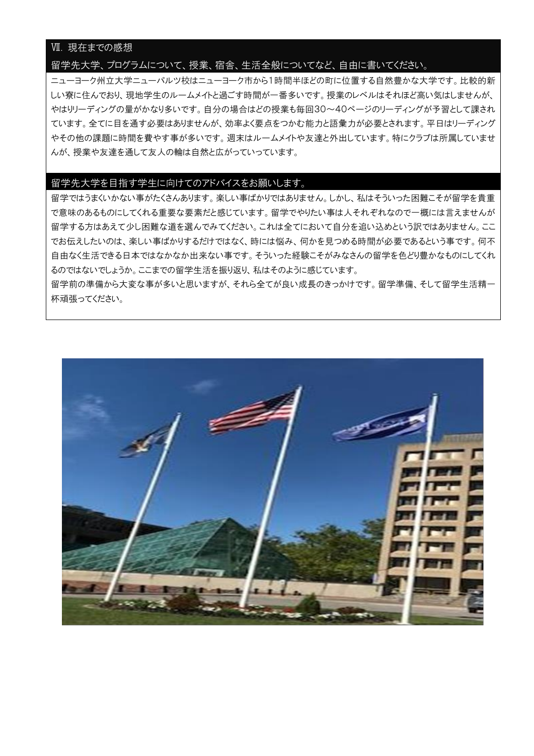# Ⅶ. 現在までの感想

#### 留学先大学、プログラムについて、授業、宿舎、生活全般についてなど、自由に書いてください。

ニューヨーク州立大学ニューパルツ校はニューヨーク市から1時間半ほどの町に位置する自然豊かな大学です。比較的新 しい寮に住んでおり、現地学生のルームメイトと過ごす時間が一番多いです。授業のレベルはそれほど高い気はしませんが、 やはりリーディングの量がかなり多いです。自分の場合はどの授業も毎回30~40ページのリーディングが予習として課され ています。全てに目を通す必要はありませんが、効率よく要点をつかむ能力と語彙力が必要とされます。平日はリーディング やその他の課題に時間を費やす事が多いです。週末はルームメイトや友達と外出しています。特にクラブは所属していませ んが、授業や友達を通して友人の輪は自然と広がっていっています。

#### 留学先大学を目指す学生に向けてのアドバイスをお願いします。

留学ではうまくいかない事がたくさんあります。楽しい事ばかりではありません。しかし、私はそういった困難こそが留学を貴重 で意味のあるものにしてくれる重要な要素だと感じています。留学でやりたい事は人それぞれなので一概には言えませんが 留学する方はあえて少し困難な道を選んでみてください。これは全てにおいて自分を追い込めという訳ではありません。ここ でお伝えしたいのは、楽しい事ばかりするだけではなく、時には悩み、何かを見つめる時間が必要であるという事です。何不 自由なく生活できる日本ではなかなか出来ない事です。そういった経験こそがみなさんの留学を色どり豊かなものにしてくれ るのではないでしょうか。ここまでの留学生活を振り返り、私はそのように感じています。

留学前の準備から大変な事が多いと思いますが、それら全てが良い成長のきっかけです。留学準備、そして留学生活精一 杯頑張ってください。

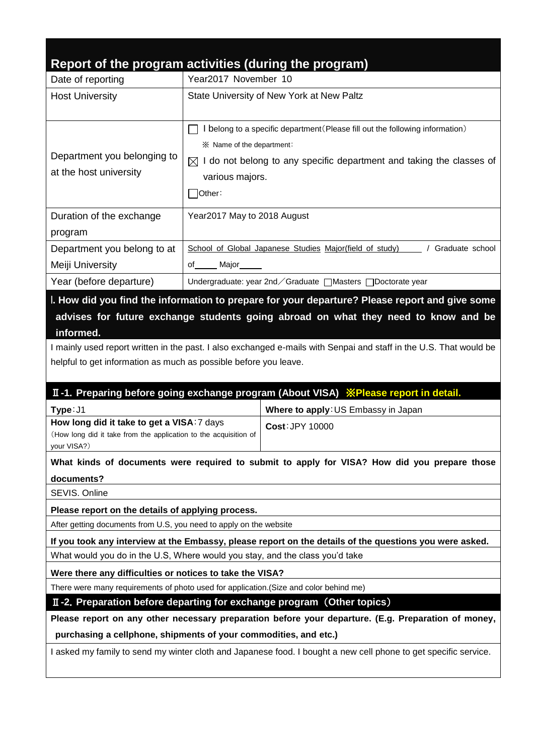# **Report of the program activities (during the program)**

|                                                                                      | Report of the program activities (during the program)                                                              |  |  |  |  |  |
|--------------------------------------------------------------------------------------|--------------------------------------------------------------------------------------------------------------------|--|--|--|--|--|
| Date of reporting                                                                    | Year2017 November 10                                                                                               |  |  |  |  |  |
| <b>Host University</b>                                                               | State University of New York at New Paltz                                                                          |  |  |  |  |  |
|                                                                                      |                                                                                                                    |  |  |  |  |  |
|                                                                                      | I belong to a specific department (Please fill out the following information)                                      |  |  |  |  |  |
|                                                                                      | ※ Name of the department:                                                                                          |  |  |  |  |  |
| Department you belonging to                                                          | I do not belong to any specific department and taking the classes of<br>⊠                                          |  |  |  |  |  |
| at the host university                                                               | various majors.                                                                                                    |  |  |  |  |  |
|                                                                                      | ้ other:                                                                                                           |  |  |  |  |  |
| Duration of the exchange                                                             | Year2017 May to 2018 August                                                                                        |  |  |  |  |  |
| program                                                                              |                                                                                                                    |  |  |  |  |  |
| Department you belong to at                                                          | School of Global Japanese Studies Major(field of study)   / Graduate school                                        |  |  |  |  |  |
| Meiji University                                                                     | Major<br>of                                                                                                        |  |  |  |  |  |
| Year (before departure)                                                              | Undergraduate: year 2nd / Graduate   Masters   Doctorate year                                                      |  |  |  |  |  |
|                                                                                      | I. How did you find the information to prepare for your departure? Please report and give some                     |  |  |  |  |  |
|                                                                                      | advises for future exchange students going abroad on what they need to know and be                                 |  |  |  |  |  |
| informed.                                                                            |                                                                                                                    |  |  |  |  |  |
|                                                                                      | I mainly used report written in the past. I also exchanged e-mails with Senpai and staff in the U.S. That would be |  |  |  |  |  |
| helpful to get information as much as possible before you leave.                     |                                                                                                                    |  |  |  |  |  |
| II-1. Preparing before going exchange program (About VISA) XPlease report in detail. |                                                                                                                    |  |  |  |  |  |
| Type: J1                                                                             | Where to apply: US Embassy in Japan                                                                                |  |  |  |  |  |
| How long did it take to get a VISA: 7 days                                           | Cost: JPY 10000                                                                                                    |  |  |  |  |  |
| (How long did it take from the application to the acquisition of<br>your VISA?)      |                                                                                                                    |  |  |  |  |  |
|                                                                                      |                                                                                                                    |  |  |  |  |  |

**What kinds of documents were required to submit to apply for VISA? How did you prepare those documents?**

SEVIS. Online

**Please report on the details of applying process.**

After getting documents from U.S, you need to apply on the website

**If you took any interview at the Embassy, please report on the details of the questions you were asked.** What would you do in the U.S, Where would you stay, and the class you'd take

**Were there any difficulties or notices to take the VISA?**

There were many requirements of photo used for application.(Size and color behind me)

Ⅱ**-2**.**Preparation before departing for exchange program** (**Other topics**)

**Please report on any other necessary preparation before your departure. (E.g. Preparation of money, purchasing a cellphone, shipments of your commodities, and etc.)** 

I asked my family to send my winter cloth and Japanese food. I bought a new cell phone to get specific service.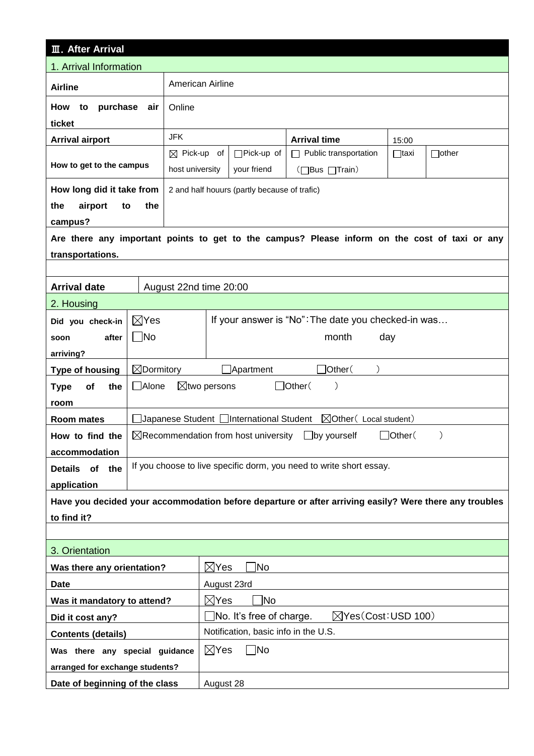| <b>III. After Arrival</b>                                         |                                                                                  |                                                       |                                                                   |                                                                                                        |             |              |
|-------------------------------------------------------------------|----------------------------------------------------------------------------------|-------------------------------------------------------|-------------------------------------------------------------------|--------------------------------------------------------------------------------------------------------|-------------|--------------|
| 1. Arrival Information                                            |                                                                                  |                                                       |                                                                   |                                                                                                        |             |              |
| <b>Airline</b>                                                    | American Airline                                                                 |                                                       |                                                                   |                                                                                                        |             |              |
| purchase<br>How<br>to                                             | air                                                                              | Online                                                |                                                                   |                                                                                                        |             |              |
| ticket                                                            |                                                                                  |                                                       |                                                                   |                                                                                                        |             |              |
| <b>Arrival airport</b>                                            |                                                                                  | <b>JFK</b>                                            |                                                                   | <b>Arrival time</b>                                                                                    | 15:00       |              |
| How to get to the campus                                          |                                                                                  | $\boxtimes$ Pick-up of<br>host university             | $\Box$ Pick-up of<br>your friend                                  | $\Box$ Public transportation<br>(□Bus □Train)                                                          | $\Box$ taxi | $\Box$ other |
| How long did it take from                                         |                                                                                  |                                                       | 2 and half houurs (partly because of trafic)                      |                                                                                                        |             |              |
| airport<br>the<br>to                                              | the                                                                              |                                                       |                                                                   |                                                                                                        |             |              |
| campus?                                                           |                                                                                  |                                                       |                                                                   |                                                                                                        |             |              |
|                                                                   |                                                                                  |                                                       |                                                                   | Are there any important points to get to the campus? Please inform on the cost of taxi or any          |             |              |
| transportations.                                                  |                                                                                  |                                                       |                                                                   |                                                                                                        |             |              |
|                                                                   |                                                                                  |                                                       |                                                                   |                                                                                                        |             |              |
| <b>Arrival date</b>                                               |                                                                                  | August 22nd time 20:00                                |                                                                   |                                                                                                        |             |              |
| 2. Housing                                                        |                                                                                  |                                                       |                                                                   |                                                                                                        |             |              |
| Did you check-in                                                  | $\boxtimes$ Yes                                                                  |                                                       |                                                                   | If your answer is "No": The date you checked-in was                                                    |             |              |
| after<br>soon                                                     | $\Box$ No                                                                        |                                                       |                                                                   | month                                                                                                  | day         |              |
| arriving?                                                         |                                                                                  |                                                       |                                                                   |                                                                                                        |             |              |
| <b>Type of housing</b>                                            | $\boxtimes$ Dormitory<br>]Other(<br>$\Box$ Apartment                             |                                                       |                                                                   |                                                                                                        |             |              |
| <b>Type</b><br>of<br>the                                          | $\Box$ Alone                                                                     | $\Box$ Other(<br>$\boxtimes$ two persons<br>$\lambda$ |                                                                   |                                                                                                        |             |              |
| room                                                              |                                                                                  |                                                       |                                                                   |                                                                                                        |             |              |
| Room mates                                                        |                                                                                  |                                                       |                                                                   |                                                                                                        |             |              |
| How to find the                                                   | $\boxtimes$ Recommendation from host university<br>$\Box$ by yourself<br>]Other( |                                                       |                                                                   |                                                                                                        |             |              |
| accommodation                                                     |                                                                                  |                                                       |                                                                   |                                                                                                        |             |              |
| Details of the                                                    | If you choose to live specific dorm, you need to write short essay.              |                                                       |                                                                   |                                                                                                        |             |              |
| application                                                       |                                                                                  |                                                       |                                                                   |                                                                                                        |             |              |
|                                                                   |                                                                                  |                                                       |                                                                   | Have you decided your accommodation before departure or after arriving easily? Were there any troubles |             |              |
| to find it?                                                       |                                                                                  |                                                       |                                                                   |                                                                                                        |             |              |
|                                                                   |                                                                                  |                                                       |                                                                   |                                                                                                        |             |              |
| 3. Orientation                                                    |                                                                                  |                                                       |                                                                   |                                                                                                        |             |              |
| Was there any orientation?                                        |                                                                                  |                                                       | ]No<br>$\boxtimes$ Yes                                            |                                                                                                        |             |              |
| <b>Date</b>                                                       |                                                                                  |                                                       | August 23rd                                                       |                                                                                                        |             |              |
| Was it mandatory to attend?                                       |                                                                                  |                                                       | $\boxtimes$ Yes<br>1No                                            |                                                                                                        |             |              |
| Did it cost any?                                                  |                                                                                  |                                                       | $\Box$ No. It's free of charge.<br>$\boxtimes$ Yes(Cost: USD 100) |                                                                                                        |             |              |
| Notification, basic info in the U.S.<br><b>Contents (details)</b> |                                                                                  |                                                       |                                                                   |                                                                                                        |             |              |
|                                                                   | $\boxtimes$ Yes<br>$\sqcap$ No<br>Was there any special guidance                 |                                                       |                                                                   |                                                                                                        |             |              |
| arranged for exchange students?                                   |                                                                                  |                                                       |                                                                   |                                                                                                        |             |              |
| Date of beginning of the class                                    |                                                                                  |                                                       | August 28                                                         |                                                                                                        |             |              |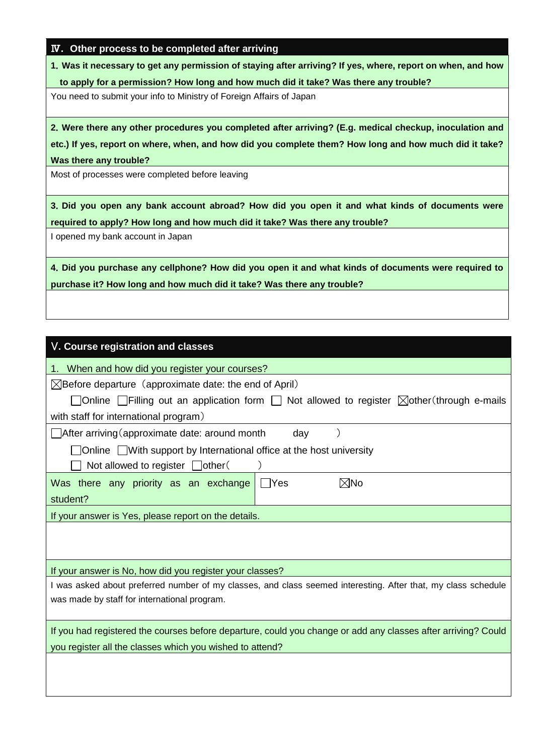|  |  | IV. Other process to be completed after arriving |  |
|--|--|--------------------------------------------------|--|
|  |  |                                                  |  |

**1**.**Was it necessary to get any permission of staying after arriving? If yes, where, report on when, and how to apply for a permission? How long and how much did it take? Was there any trouble?**

You need to submit your info to Ministry of Foreign Affairs of Japan

**2**.**Were there any other procedures you completed after arriving? (E.g. medical checkup, inoculation and etc.) If yes, report on where, when, and how did you complete them? How long and how much did it take? Was there any trouble?**

Most of processes were completed before leaving

**3**.**Did you open any bank account abroad? How did you open it and what kinds of documents were required to apply? How long and how much did it take? Was there any trouble?**

I opened my bank account in Japan

**4**.**Did you purchase any cellphone? How did you open it and what kinds of documents were required to purchase it? How long and how much did it take? Was there any trouble?**

# V**. Course registration and classes**

1. When and how did you register your courses?

 $\boxtimes$ Before departure (approximate date: the end of April)

| □ Online $\Box$ Filling out an application form $\Box$ Not allowed to register $\boxtimes$ other (through e-mails |
|-------------------------------------------------------------------------------------------------------------------|
| with staff for international program)                                                                             |
| $\Box$ After arriving (approximate date: around month<br>dav                                                      |
| $\Box$ Online $\Box$ With support by International office at the host university                                  |
| Not allowed to register $\Box$ other (                                                                            |
| Was there any priority as an exchange $\Box$ Yes<br>$\boxtimes$ No                                                |
| student?                                                                                                          |

If your answer is Yes, please report on the details.

If your answer is No, how did you register your classes?

I was asked about preferred number of my classes, and class seemed interesting. After that, my class schedule was made by staff for international program.

If you had registered the courses before departure, could you change or add any classes after arriving? Could you register all the classes which you wished to attend?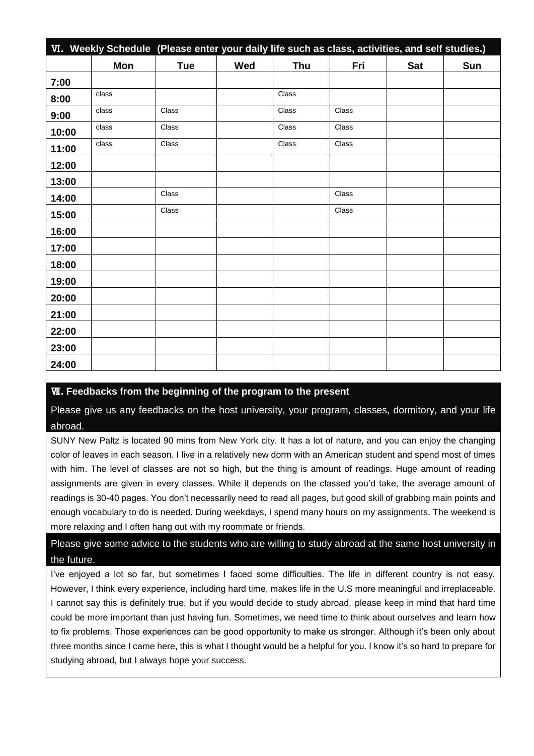|       | VI. Weekly Schedule (Please enter your daily life such as class, activities, and self studies.) |            |     |            |       |            |     |
|-------|-------------------------------------------------------------------------------------------------|------------|-----|------------|-------|------------|-----|
|       | Mon                                                                                             | <b>Tue</b> | Wed | <b>Thu</b> | Fri   | <b>Sat</b> | Sun |
| 7:00  |                                                                                                 |            |     |            |       |            |     |
| 8:00  | class                                                                                           |            |     | Class      |       |            |     |
| 9:00  | class                                                                                           | Class      |     | Class      | Class |            |     |
| 10:00 | class                                                                                           | Class      |     | Class      | Class |            |     |
| 11:00 | class                                                                                           | Class      |     | Class      | Class |            |     |
| 12:00 |                                                                                                 |            |     |            |       |            |     |
| 13:00 |                                                                                                 |            |     |            |       |            |     |
| 14:00 |                                                                                                 | Class      |     |            | Class |            |     |
| 15:00 |                                                                                                 | Class      |     |            | Class |            |     |
| 16:00 |                                                                                                 |            |     |            |       |            |     |
| 17:00 |                                                                                                 |            |     |            |       |            |     |
| 18:00 |                                                                                                 |            |     |            |       |            |     |
| 19:00 |                                                                                                 |            |     |            |       |            |     |
| 20:00 |                                                                                                 |            |     |            |       |            |     |
| 21:00 |                                                                                                 |            |     |            |       |            |     |
| 22:00 |                                                                                                 |            |     |            |       |            |     |
| 23:00 |                                                                                                 |            |     |            |       |            |     |
| 24:00 |                                                                                                 |            |     |            |       |            |     |

## Ⅶ**. Feedbacks from the beginning of the program to the present**

Please give us any feedbacks on the host university, your program, classes, dormitory, and your life abroad.

SUNY New Paltz is located 90 mins from New York city. It has a lot of nature, and you can enjoy the changing color of leaves in each season. I live in a relatively new dorm with an American student and spend most of times with him. The level of classes are not so high, but the thing is amount of readings. Huge amount of reading assignments are given in every classes. While it depends on the classed you'd take, the average amount of readings is 30-40 pages. You don't necessarily need to read all pages, but good skill of grabbing main points and enough vocabulary to do is needed. During weekdays, I spend many hours on my assignments. The weekend is more relaxing and I often hang out with my roommate or friends.

Please give some advice to the students who are willing to study abroad at the same host university in the future.

I've enjoyed a lot so far, but sometimes I faced some difficulties. The life in different country is not easy. However, I think every experience, including hard time, makes life in the U.S more meaningful and irreplaceable. I cannot say this is definitely true, but if you would decide to study abroad, please keep in mind that hard time could be more important than just having fun. Sometimes, we need time to think about ourselves and learn how to fix problems. Those experiences can be good opportunity to make us stronger. Although it's been only about three months since I came here, this is what I thought would be a helpful for you. I know it's so hard to prepare for studying abroad, but I always hope your success.